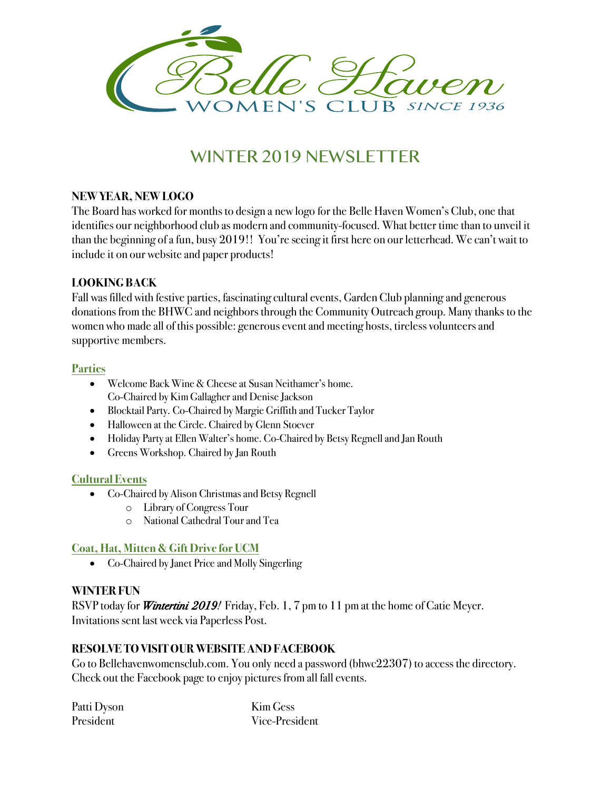

# WINTER 2019 NEWSLETTER

# **NEW YEAR, NEW LOGO**

The Board has worked for months to design a new logo for the Belle Haven Women's Club, one that identifies our neighborhood club as modern and community-focused. What better time than to unveil it than the beginning of a fun, busy 2019!! You're seeing it first here on our letterhead. We can't wait to include it on our website and paper products!

### **LOOKING BACK**

Fall was filled with festive parties, fascinating cultural events, Garden Club planning and generous donations from the BHWC and neighbors through the Community Outreach group. Many thanks to the women who made all of this possible: generous event and meeting hosts, tireless volunteers and supportive members.

## **Parties**

- Welcome Back Wine & Cheese at Susan Neithamer's home. Co-Chaired by Kim Gallagher and Denise Jackson
- Blocktail Party. Co-Chaired by Margie Griffith and Tucker Taylor
- Halloween at the Circle. Chaired by Glenn Stoever
- Holiday Party at Ellen Walter's home. Co-Chaired by Betsy Regnell and Jan Routh
- Greens Workshop. Chaired by Jan Routh

### **Cultural Events**

- Co-Chaired by Alison Christmas and Betsy Regnell
	- o Library of Congress Tour
	- o National Cathedral Tour and Tea

# **Coat, Hat, Mitten & Gift Drive for UCM**

• Co-Chaired by Janet Price and Molly Singerling

# **WINTER FUN**

RSVP today for *Wintertini 2019!* Friday, Feb. 1, 7 pm to 11 pm at the home of Catie Meyer. Invitations sent last week via Paperless Post.

# **RESOLVE TO VISIT OUR WEBSITE AND FACEBOOK**

Go to Bellehavenwomensclub.com. You only need a password (bhwc22307) to access the directory. Check out the Facebook page to enjoy pictures from all fall events.

| Patti Dyson | Kim Gess       |
|-------------|----------------|
| President   | Vice-President |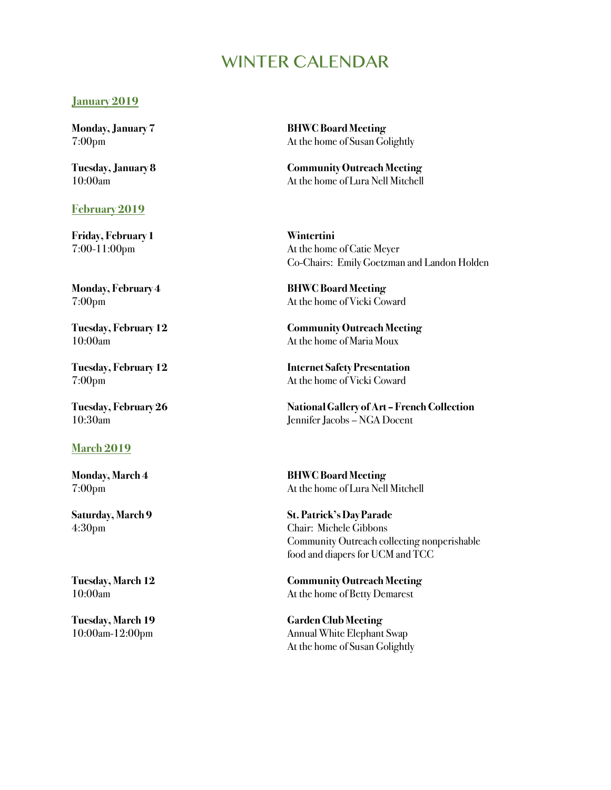# WINTER CAI ENDAR

#### **January 2019**

#### **February 2019**

**Friday, February 1 Wintertini**

### **March 2019**

**Monday, January 7 BHWC Board Meeting** 7:00pm At the home of Susan Golightly

**Tuesday, January 8 Community Outreach Meeting** 10:00am At the home of Lura Nell Mitchell

7:00-11:00pm At the home of Catie Meyer Co-Chairs: Emily Goetzman and Landon Holden

**Monday, February 4 BHWC Board Meeting** 7:00pm At the home of Vicki Coward

**Tuesday, February 12 Community Outreach Meeting** 10:00am At the home of Maria Moux

**Tuesday, February 12 Internet Safety Presentation** 7:00pm At the home of Vicki Coward

**Tuesday, February 26 National Gallery of Art – French Collection** 10:30am Jennifer Jacobs – NGA Docent

**Monday, March 4 BHWC Board Meeting** 7:00pm At the home of Lura Nell Mitchell

**Saturday, March 9 St. Patrick's Day Parade** 4:30pm Chair: Michele Gibbons Community Outreach collecting nonperishable food and diapers for UCM and TCC

**Tuesday, March 12 Community Outreach Meeting** 10:00am At the home of Betty Demarest

**Tuesday, March 19 Garden Club Meeting** 10:00am-12:00pm Annual White Elephant Swap At the home of Susan Golightly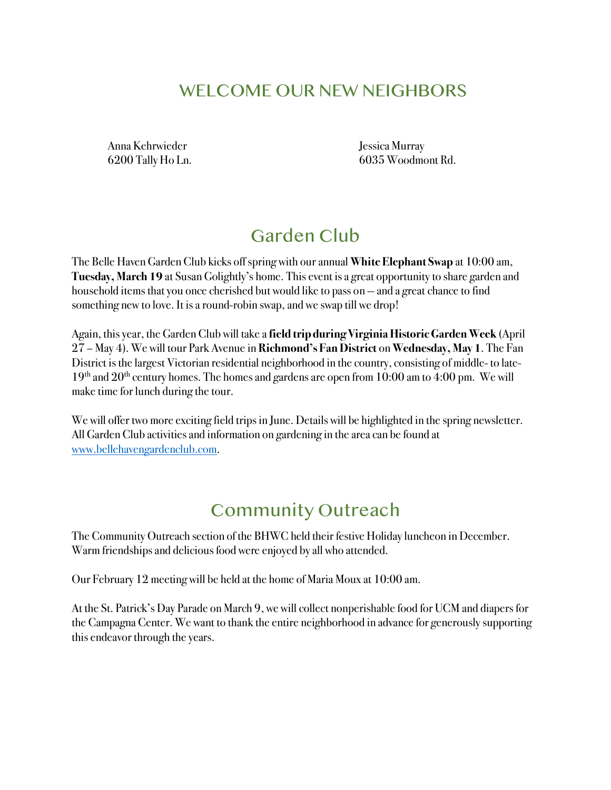# WELCOME OUR NEW NEIGHBORS

Anna Kehrwieder Jessica Murray

6200 Tally Ho Ln. 6035 Woodmont Rd.

# Garden Club

The Belle Haven Garden Club kicks off spring with our annual **White Elephant Swap** at 10:00 am, **Tuesday, March 19** at Susan Golightly's home. This event is a great opportunity to share garden and household items that you once cherished but would like to pass on -- and a great chance to find something new to love. It is a round-robin swap, and we swap till we drop!

Again, this year, the Garden Club will take a **field trip during Virginia Historic Garden Week** (April 27 – May 4). We will tour Park Avenue in **Richmond's Fan District** on **Wednesday, May 1**. The Fan District is the largest Victorian residential neighborhood in the country, consisting of middle- to late- $19<sup>th</sup>$  and  $20<sup>th</sup>$  century homes. The homes and gardens are open from 10:00 am to 4:00 pm. We will make time for lunch during the tour.

We will offer two more exciting field trips in June. Details will be highlighted in the spring newsletter. All Garden Club activities and information on gardening in the area can be found at www.bellehavengardenclub.com.

# Community Outreach

The Community Outreach section of the BHWC held their festive Holiday luncheon in December. Warm friendships and delicious food were enjoyed by all who attended.

Our February 12 meeting will be held at the home of Maria Moux at 10:00 am.

At the St. Patrick's Day Parade on March 9, we will collect nonperishable food for UCM and diapers for the Campagna Center. We want to thank the entire neighborhood in advance for generously supporting this endeavor through the years.